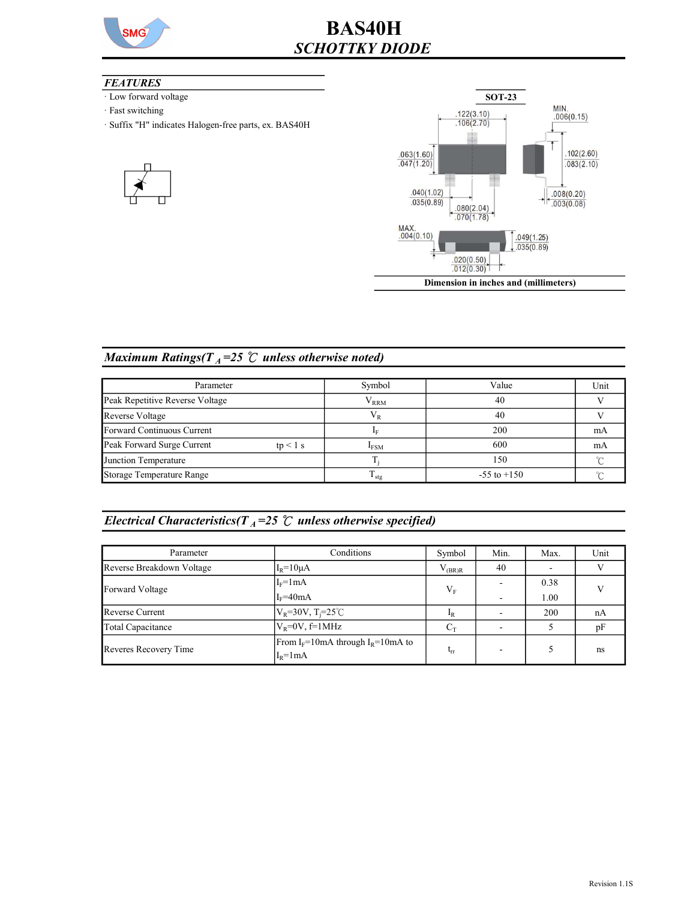

#### **FEATURES**

- · Low forward voltage
- · Fast switching
- · Suffix "H" indicates Halogen-free parts, ex. BAS40H





### Maximum Ratings( $T_A$ =25 °C unless otherwise noted)

| Parameter                                | Symbol            | Value           | Unit |
|------------------------------------------|-------------------|-----------------|------|
| Peak Repetitive Reverse Voltage          | $\rm V_{RRM}$     | 40              |      |
| Reverse Voltage                          | $V_R$             | 40              |      |
| Forward Continuous Current               |                   | 200             | mA   |
| Peak Forward Surge Current<br>$tp < 1$ s | I <sub>FSM</sub>  | 600             | mA   |
| Junction Temperature                     |                   | 150             |      |
| Storage Temperature Range                | $\frac{1}{1}$ stg | $-55$ to $+150$ |      |

# Electrical Characteristics( $T_A$ =25  $\mathcal C$  unless otherwise specified)

| Parameter                                                                           | Conditions                     | Symbol      | Min. | Max. | Unit |
|-------------------------------------------------------------------------------------|--------------------------------|-------------|------|------|------|
| Reverse Breakdown Voltage                                                           | $I_R = 10 \mu A$               | $V_{(BR)R}$ | 40   |      |      |
| Forward Voltage                                                                     | $I_F = 1mA$                    |             |      | 0.38 |      |
|                                                                                     | $I_F = 40mA$                   | $V_{F}$     |      | 1.00 |      |
| <b>Reverse Current</b>                                                              | $V_R = 30V, T_i = 25^{\circ}C$ | $I_R$       |      | 200  | nA   |
| Total Capacitance                                                                   | $V_R = 0V$ , f=1MHz            | $C_T$       |      |      | pF   |
| From $I_F = 10$ mA through $I_R = 10$ mA to<br>Reveres Recovery Time<br>$I_R = 1mA$ |                                | $t_{rr}$    |      |      | ns   |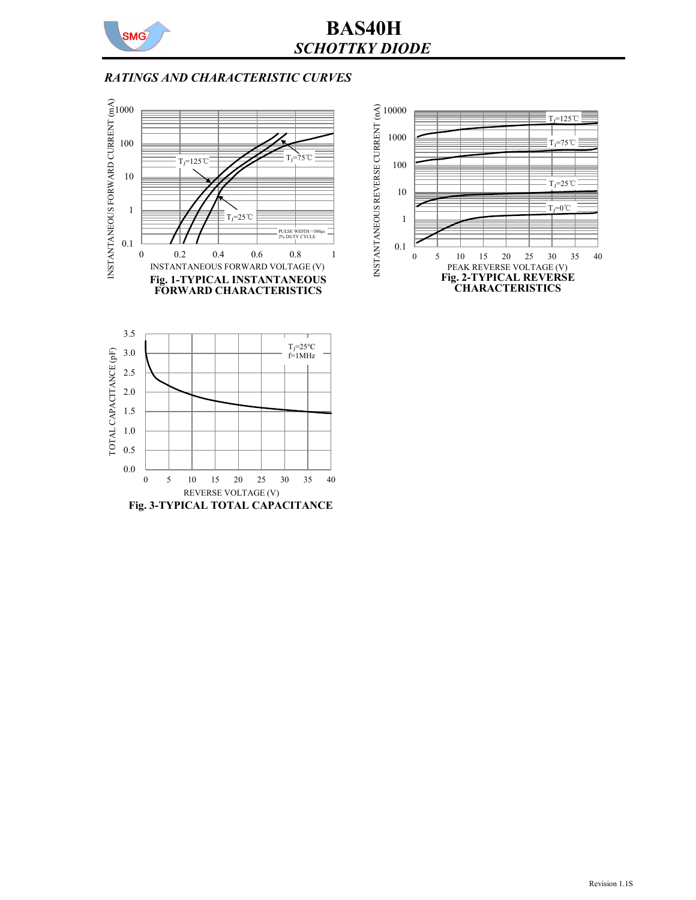

### RATINGS AND CHARACTERISTIC CURVES



Fig. 3-TYPICAL TOTAL CAPACITANCE

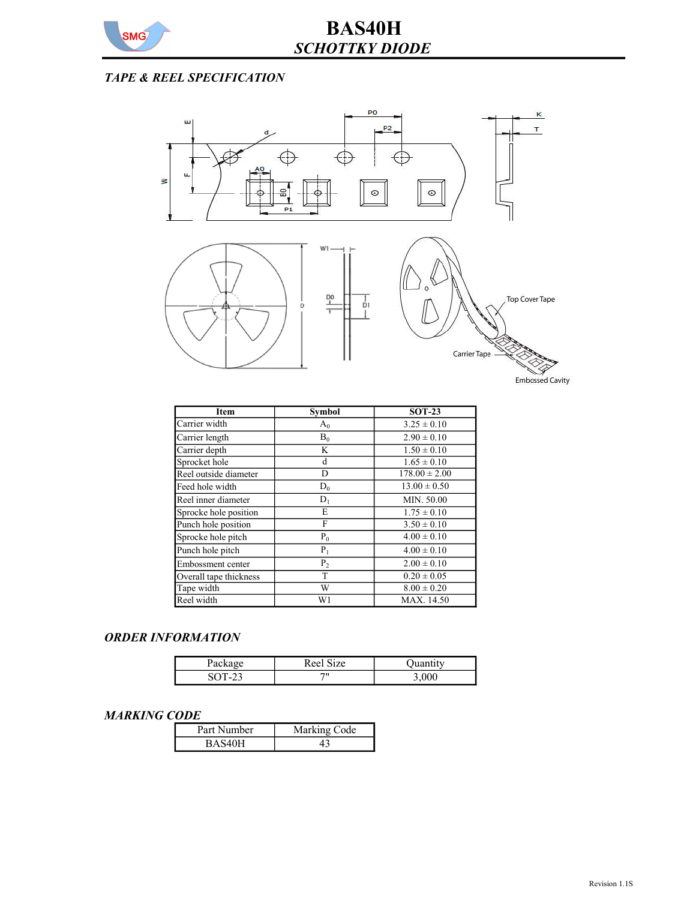

## TAPE & REEL SPECIFICATION



| <b>Item</b>            | <b>Symbol</b>  | $SOT-23$          |
|------------------------|----------------|-------------------|
| Carrier width          | $A_0$          | $3.25 \pm 0.10$   |
| Carrier length         | $B_0$          | $2.90 \pm 0.10$   |
| Carrier depth          | K              | $1.50 \pm 0.10$   |
| Sprocket hole          | d              | $1.65 \pm 0.10$   |
| Reel outside diameter  | D              | $178.00 \pm 2.00$ |
| Feed hole width        | $D_0$          | $13.00 \pm 0.50$  |
| Reel inner diameter    | $D_1$          | MIN. 50.00        |
| Sprocke hole position  | E              | $1.75 \pm 0.10$   |
| Punch hole position    | F              | $3.50 \pm 0.10$   |
| Sprocke hole pitch     | $P_0$          | $4.00 \pm 0.10$   |
| Punch hole pitch       | $P_1$          | $4.00 \pm 0.10$   |
| Embossment center      | P <sub>2</sub> | $2.00 \pm 0.10$   |
| Overall tape thickness | T              | $0.20 \pm 0.05$   |
| Tape width             | W              | $8.00 \pm 0.20$   |
| Reel width             | W1             | MAX. 14.50        |

### ORDER INFORMATION

| i avna        | Reel Size |  |
|---------------|-----------|--|
| $\mathcal{L}$ | 711       |  |

#### MARKING CODE

| Part Number | Marking Code |
|-------------|--------------|
| BAS40H      |              |